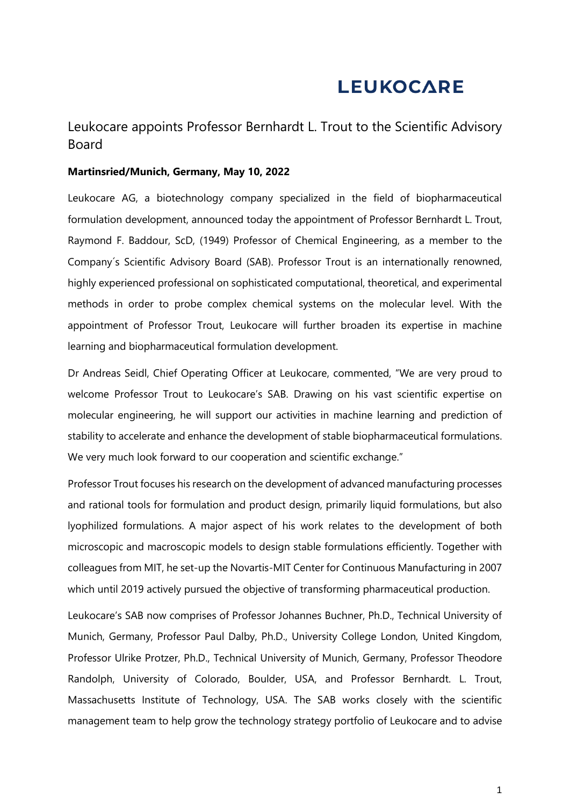# **LEUKOCARE**

Leukocare appoints Professor Bernhardt L. Trout to the Scientific Advisory Board

#### **Martinsried/Munich, Germany, May 10, 2022**

Leukocare AG, a biotechnology company specialized in the field of biopharmaceutical formulation development, announced today the appointment of Professor Bernhardt L. Trout, Raymond F. Baddour, ScD, (1949) Professor of Chemical Engineering, as a member to the Company´s Scientific Advisory Board (SAB). Professor Trout is an internationally renowned, highly experienced professional on sophisticated computational, theoretical, and experimental methods in order to probe complex chemical systems on the molecular level. With the appointment of Professor Trout, Leukocare will further broaden its expertise in machine learning and biopharmaceutical formulation development.

Dr Andreas Seidl, Chief Operating Officer at Leukocare, commented, "We are very proud to welcome Professor Trout to Leukocare's SAB. Drawing on his vast scientific expertise on molecular engineering, he will support our activities in machine learning and prediction of stability to accelerate and enhance the development of stable biopharmaceutical formulations. We very much look forward to our cooperation and scientific exchange."

Professor Trout focuses his research on the development of advanced manufacturing processes and rational tools for formulation and product design, primarily liquid formulations, but also lyophilized formulations. A major aspect of his work relates to the development of both microscopic and macroscopic models to design stable formulations efficiently. Together with colleagues from MIT, he set-up the Novartis-MIT Center for Continuous Manufacturing in 2007 which until 2019 actively pursued the objective of transforming pharmaceutical production.

Leukocare's SAB now comprises of Professor Johannes Buchner, Ph.D., Technical University of Munich, Germany, Professor Paul Dalby, Ph.D., University College London, United Kingdom, Professor Ulrike Protzer, Ph.D., Technical University of Munich, Germany, Professor Theodore Randolph, University of Colorado, Boulder, USA, and Professor Bernhardt. L. Trout, Massachusetts Institute of Technology, USA. The SAB works closely with the scientific management team to help grow the technology strategy portfolio of Leukocare and to advise